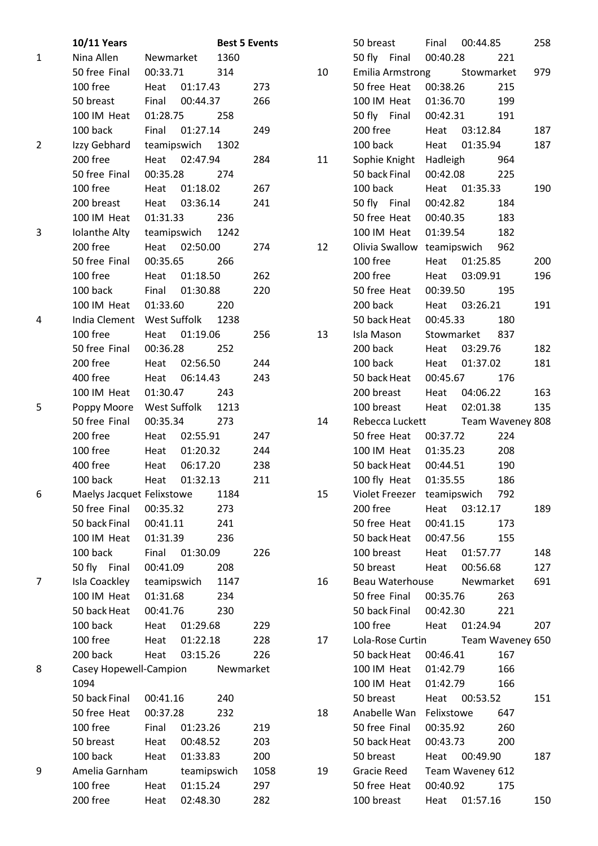|                | <b>10/11 Years</b>         |              |                  | <b>Best 5 Events</b> |      |    | 50 breast                  | Final            | 00:44.85   |                  | 258 |
|----------------|----------------------------|--------------|------------------|----------------------|------|----|----------------------------|------------------|------------|------------------|-----|
| $\mathbf{1}$   | Nina Allen                 | Newmarket    |                  | 1360                 |      |    | 50 fly Final               | 00:40.28         |            | 221              |     |
|                | 50 free Final              | 00:33.71     |                  | 314                  |      | 10 | <b>Emilia Armstrong</b>    |                  | Stowmarket |                  | 979 |
|                | 100 free                   | Heat         | 01:17.43         |                      | 273  |    | 50 free Heat               | 00:38.26         |            | 215              |     |
|                | 50 breast                  | Final        | 00:44.37         |                      | 266  |    | 100 IM Heat                | 01:36.70         |            | 199              |     |
|                | 100 IM Heat                | 01:28.75     |                  | 258                  |      |    | 50 fly Final               | 00:42.31         |            | 191              |     |
|                | 100 back                   | Final        | 01:27.14         |                      | 249  |    | 200 free                   | Heat             | 03:12.84   |                  | 187 |
| $\overline{2}$ | Izzy Gebhard               |              | teamipswich 1302 |                      |      |    | 100 back                   | Heat             | 01:35.94   |                  | 187 |
|                | 200 free                   | Heat         | 02:47.94         |                      | 284  | 11 | Sophie Knight Hadleigh     |                  |            | 964              |     |
|                | 50 free Final              | 00:35.28     |                  | 274                  |      |    | 50 back Final              | 00:42.08         |            | 225              |     |
|                | 100 free                   | Heat         | 01:18.02         |                      | 267  |    | 100 back                   | Heat             | 01:35.33   |                  | 190 |
|                | 200 breast                 | Heat         | 03:36.14         |                      | 241  |    | 50 fly Final               | 00:42.82         |            | 184              |     |
|                | 100 IM Heat                | 01:31.33     |                  | 236                  |      |    | 50 free Heat               | 00:40.35         |            | 183              |     |
| 3              | Iolanthe Alty              | teamipswich  |                  | 1242                 |      |    | 100 IM Heat                | 01:39.54         |            | 182              |     |
|                | 200 free                   |              | Heat 02:50.00    |                      | 274  | 12 | Olivia Swallow teamipswich |                  |            | 962              |     |
|                | 50 free Final              | 00:35.65     |                  | 266                  |      |    | 100 free                   | Heat             | 01:25.85   |                  | 200 |
|                | 100 free                   | Heat         | 01:18.50         |                      | 262  |    | 200 free                   | Heat             | 03:09.91   |                  | 196 |
|                | 100 back                   | Final        | 01:30.88         |                      | 220  |    | 50 free Heat               | 00:39.50         |            | 195              |     |
|                | 100 IM Heat                | 01:33.60     |                  | 220                  |      |    | 200 back                   | Heat             | 03:26.21   |                  | 191 |
| 4              | India Clement West Suffolk |              |                  | 1238                 |      |    | 50 back Heat               | 00:45.33         |            | 180              |     |
|                | 100 free                   | Heat         | 01:19.06         |                      | 256  | 13 | Isla Mason                 | Stowmarket       |            | 837              |     |
|                | 50 free Final              | 00:36.28     |                  | 252                  |      |    | 200 back                   | Heat             | 03:29.76   |                  | 182 |
|                | 200 free                   | Heat         | 02:56.50         |                      | 244  |    | 100 back                   | Heat             | 01:37.02   |                  | 181 |
|                | 400 free                   | Heat         | 06:14.43         |                      | 243  |    | 50 back Heat               | 00:45.67         |            | 176              |     |
|                | 100 IM Heat                | 01:30.47     |                  | 243                  |      |    | 200 breast                 | Heat             | 04:06.22   |                  | 163 |
| 5              | Poppy Moore                | West Suffolk |                  | 1213                 |      |    | 100 breast                 | Heat             | 02:01.38   |                  | 135 |
|                | 50 free Final              | 00:35.34     |                  | 273                  |      | 14 | Rebecca Luckett            |                  |            | Team Waveney 808 |     |
|                | 200 free                   | Heat         | 02:55.91         |                      | 247  |    | 50 free Heat               | 00:37.72         |            | 224              |     |
|                | 100 free                   | Heat         | 01:20.32         |                      | 244  |    | 100 IM Heat                | 01:35.23         |            | 208              |     |
|                | 400 free                   | Heat         | 06:17.20         |                      | 238  |    | 50 back Heat               | 00:44.51         |            | 190              |     |
|                | 100 back                   | Heat         | 01:32.13         |                      | 211  |    | 100 fly Heat               | 01:35.55         |            | 186              |     |
| 6              | Maelys Jacquet Felixstowe  |              |                  | 1184                 |      | 15 | Violet Freezer teamipswich |                  |            | 792              |     |
|                | 50 free Final              | 00:35.32     |                  | 273                  |      |    | 200 free                   | Heat 03:12.17    |            |                  | 189 |
|                | 50 back Final              | 00:41.11     |                  | 241                  |      |    | 50 free Heat               | 00:41.15         |            | 173              |     |
|                | 100 IM Heat                | 01:31.39     |                  | 236                  |      |    | 50 back Heat               | 00:47.56         |            | 155              |     |
|                | 100 back                   | Final        | 01:30.09         |                      | 226  |    | 100 breast                 | Heat             | 01:57.77   |                  | 148 |
|                | 50 fly Final               | 00:41.09     |                  | 208                  |      |    | 50 breast                  | Heat             | 00:56.68   |                  | 127 |
| 7              | Isla Coackley              | teamipswich  |                  | 1147                 |      | 16 | Beau Waterhouse            |                  | Newmarket  |                  | 691 |
|                | 100 IM Heat                | 01:31.68     |                  | 234                  |      |    | 50 free Final              | 00:35.76         |            | 263              |     |
|                | 50 back Heat               | 00:41.76     |                  | 230                  |      |    | 50 back Final              | 00:42.30         |            | 221              |     |
|                | 100 back                   | Heat         | 01:29.68         |                      | 229  |    | 100 free                   | Heat             | 01:24.94   |                  | 207 |
|                | 100 free                   | Heat         | 01:22.18         |                      | 228  | 17 | Lola-Rose Curtin           |                  |            | Team Waveney 650 |     |
|                | 200 back                   | Heat         | 03:15.26         |                      | 226  |    | 50 back Heat               | 00:46.41         |            | 167              |     |
| 8              | Casey Hopewell-Campion     |              |                  | Newmarket            |      |    | 100 IM Heat                | 01:42.79         |            | 166              |     |
|                | 1094                       |              |                  |                      |      |    | 100 IM Heat                | 01:42.79         |            | 166              |     |
|                | 50 back Final              | 00:41.16     |                  | 240                  |      |    | 50 breast                  | Heat             | 00:53.52   |                  | 151 |
|                | 50 free Heat               | 00:37.28     |                  | 232                  |      | 18 | Anabelle Wan               | Felixstowe       |            | 647              |     |
|                | 100 free                   | Final        | 01:23.26         |                      | 219  |    | 50 free Final              | 00:35.92         |            | 260              |     |
|                | 50 breast                  | Heat         | 00:48.52         |                      | 203  |    | 50 back Heat               | 00:43.73         |            | 200              |     |
|                | 100 back                   | Heat         | 01:33.83         |                      | 200  |    | 50 breast                  | Heat             | 00:49.90   |                  | 187 |
| 9              | Amelia Garnham             |              | teamipswich      |                      | 1058 | 19 | Gracie Reed                | Team Waveney 612 |            |                  |     |
|                | 100 free                   | Heat         | 01:15.24         |                      | 297  |    | 50 free Heat               | 00:40.92         |            | 175              |     |
|                | 200 free                   | Heat         | 02:48.30         |                      | 282  |    | 100 breast                 | Heat             | 01:57.16   |                  | 150 |
|                |                            |              |                  |                      |      |    |                            |                  |            |                  |     |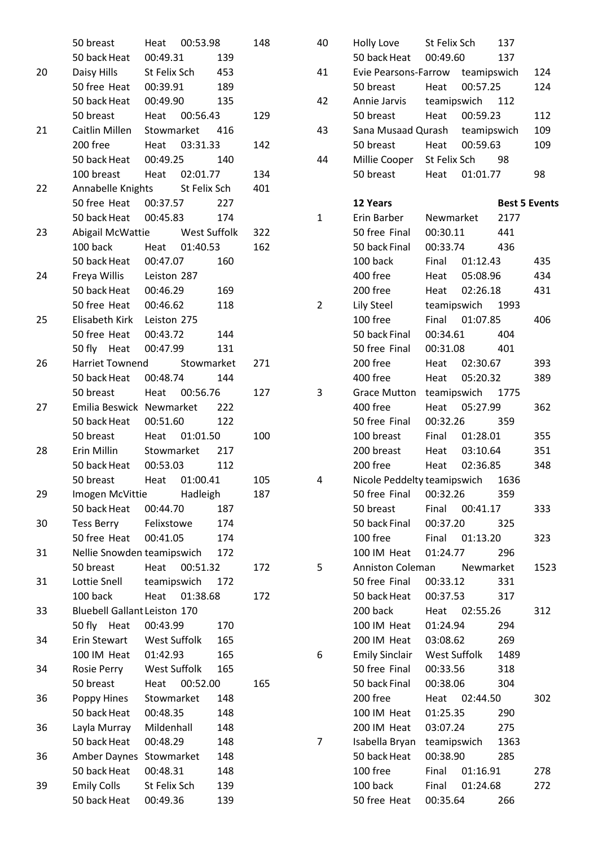|    | 50 breast                           |              | Heat 00:53.98  |     | 148 |
|----|-------------------------------------|--------------|----------------|-----|-----|
|    | 50 back Heat  00:49.31  139         |              |                |     |     |
| 20 | Daisy Hills St Felix Sch 453        |              |                |     |     |
|    | 50 free Heat 00:39.91 189           |              |                |     |     |
|    | 50 back Heat                        |              | 00:49.90 135   |     |     |
|    | 50 breast                           |              | Heat 00:56.43  |     | 129 |
| 21 | Caitlin Millen Stowmarket 416       |              |                |     |     |
|    | 200 free                            |              | Heat 03:31.33  |     | 142 |
|    | 50 back Heat 00:49.25 140           |              |                |     |     |
|    | 100 breast Heat 02:01.77            |              |                |     | 134 |
| 22 | Annabelle Knights St Felix Sch      |              |                |     | 401 |
|    | 50 free Heat 00:37.57 227           |              |                |     |     |
|    | 50 back Heat 00:45.83 174           |              |                |     |     |
| 23 | Abigail McWattie West Suffolk       |              |                |     | 322 |
|    | 100 back Heat 01:40.53              |              |                |     | 162 |
|    | 50 back Heat 00:47.07               |              |                | 160 |     |
| 24 | Freya Willis Leiston 287            |              |                |     |     |
|    | 50 back Heat 00:46.29               |              |                | 169 |     |
|    | 50 free Heat 00:46.62               |              |                | 118 |     |
| 25 | Elisabeth Kirk Leiston 275          |              |                |     |     |
|    | 50 free Heat 00:43.72 144           |              |                |     |     |
|    | 50 fly Heat 00:47.99                |              |                | 131 |     |
| 26 | Harriet Townend Stowmarket          |              |                |     | 271 |
|    | 50 back Heat 00:48.74 144           |              |                |     |     |
|    | 50 breast                           |              | Heat 00:56.76  |     | 127 |
| 27 | Emilia Beswick Newmarket 222        |              |                |     |     |
|    | 50 back Heat  00:51.60              |              |                | 122 |     |
|    | 50 breast                           |              | Heat 01:01.50  |     | 100 |
| 28 | Erin Millin                         |              | Stowmarket 217 |     |     |
|    | 50 back Heat  00:53.03              |              |                | 112 |     |
|    | 50 breast Heat 01:00.41             |              |                |     | 105 |
| 29 | Imogen McVittie                     |              | Hadleigh       |     | 187 |
|    | 50 back Heat                        | 00:44.70     |                | 187 |     |
| 30 | Tess Berry                          | Felixstowe   |                | 174 |     |
|    | 50 free Heat                        | 00:41.05     |                | 174 |     |
| 31 | Nellie Snowden teamipswich          |              |                | 172 |     |
|    | 50 breast                           | Heat         | 00:51.32       |     | 172 |
| 31 | Lottie Snell                        | teamipswich  |                | 172 |     |
|    | 100 back                            |              | Heat 01:38.68  |     | 172 |
| 33 | <b>Bluebell Gallant Leiston 170</b> |              |                |     |     |
|    | 50 fly Heat                         | 00:43.99     |                | 170 |     |
| 34 | Erin Stewart                        | West Suffolk |                | 165 |     |
|    | 100 IM Heat                         | 01:42.93     |                | 165 |     |
| 34 | Rosie Perry                         | West Suffolk |                | 165 |     |
|    | 50 breast                           | Heat         | 00:52.00       |     | 165 |
| 36 | Poppy Hines                         | Stowmarket   |                | 148 |     |
|    | 50 back Heat                        | 00:48.35     |                | 148 |     |
| 36 | Layla Murray                        | Mildenhall   |                | 148 |     |
|    | 50 back Heat                        | 00:48.29     |                | 148 |     |
| 36 | Amber Daynes                        | Stowmarket   |                | 148 |     |
|    | 50 back Heat                        | 00:48.31     |                | 148 |     |
| 39 | <b>Emily Colls</b>                  | St Felix Sch |                | 139 |     |
|    | 50 back Heat                        | 00:49.36     |                | 139 |     |

| 40 | Holly Love             | St Felix Sch                     | 137                  |      |
|----|------------------------|----------------------------------|----------------------|------|
|    | 50 back Heat 00:49.60  |                                  | 137                  |      |
| 41 |                        | Evie Pearsons-Farrow teamipswich |                      | 124  |
|    | 50 breast              | Heat 00:57.25                    |                      | 124  |
| 42 |                        | Annie Jarvis teamipswich 112     |                      |      |
|    | 50 breast              | Heat 00:59.23                    |                      | 112  |
| 43 |                        | Sana Musaad Qurash teamipswich   |                      | 109  |
|    | 50 breast              | Heat 00:59.63                    |                      | 109  |
| 44 |                        | Millie Cooper St Felix Sch 98    |                      |      |
|    |                        | 50 breast Heat 01:01.77          |                      | 98   |
|    |                        |                                  |                      |      |
|    | 12 Years               |                                  | <b>Best 5 Events</b> |      |
| 1  |                        | Erin Barber Newmarket            | 2177                 |      |
|    | 50 free Final          | 00:30.11                         | 441                  |      |
|    | 50 back Final          | 00:33.74                         | 436                  |      |
|    | 100 back               | Final 01:12.43                   |                      | 435  |
|    | 400 free               | Heat 05:08.96                    |                      | 434  |
|    | 200 free               | Heat 02:26.18                    |                      | 431  |
| 2  | Lily Steel             | teamipswich 1993                 |                      |      |
|    | 100 free               | Final 01:07.85                   |                      | 406  |
|    | 50 back Final 00:34.61 |                                  | 404                  |      |
|    | 50 free Final          | 00:31.08                         | 401                  |      |
|    | 200 free               | Heat 02:30.67                    |                      | 393  |
|    | 400 free               | Heat 05:20.32                    |                      | 389  |
| 3  |                        | Grace Mutton teamipswich 1775    |                      |      |
|    | 400 free               | Heat 05:27.99                    |                      | 362  |
|    | 50 free Final          | 00:32.26 359                     |                      |      |
|    | 100 breast             | Final 01:28.01                   |                      | 355  |
|    | 200 breast             | Heat 03:10.64                    |                      | 351  |
|    | 200 free               | Heat 02:36.85                    |                      | 348  |
| 4  |                        | Nicole Peddelty teamipswich 1636 |                      |      |
|    | 50 free Final          | 00:32.26                         | 359                  |      |
|    | 50 breast              | Final 00:41.17                   |                      | 333  |
|    |                        | 50 back Final 00:37.20 325       |                      |      |
|    | 100 free               | Final 01:13.20                   |                      | 323  |
|    | 100 IM Heat            | 01:24.77                         | 296                  |      |
| 5  |                        | Anniston Coleman Newmarket       |                      | 1523 |
|    | 50 free Final          | 00:33.12                         | 331                  |      |
|    |                        | 50 back Heat  00:37.53           | 317                  |      |
|    | 200 back               | Heat 02:55.26                    |                      | 312  |
|    | 100 IM Heat            | 01:24.94                         | 294                  |      |
|    | 200 IM Heat 03:08.62   |                                  | 269                  |      |
| 6  |                        | Emily Sinclair West Suffolk 1489 |                      |      |
|    | 50 free Final 00:33.56 |                                  | 318                  |      |
|    | 50 back Final          | 00:38.06                         | 304                  |      |
|    | 200 free               | Heat 02:44.50                    |                      | 302  |
|    | 100 IM Heat            | 01:25.35                         | 290                  |      |
|    | 200 IM Heat 03:07.24   |                                  | 275                  |      |
| 7  |                        | Isabella Bryan teamipswich       | 1363                 |      |
|    | 50 back Heat           | 00:38.90                         | 285                  |      |
|    | 100 free               | Final 01:16.91                   |                      | 278  |
|    | 100 back               | Final 01:24.68                   |                      | 272  |
|    |                        | 50 free Heat 00:35.64 266        |                      |      |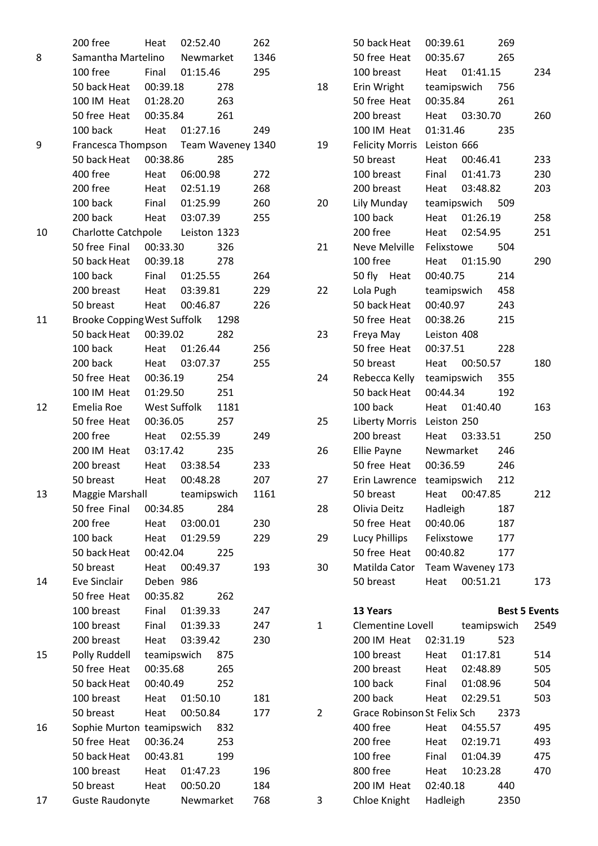|    | 200 free                             | Heat      | 02:52.40       |     | 262  |
|----|--------------------------------------|-----------|----------------|-----|------|
| 8  | Samantha Martelino Newmarket         |           |                |     | 1346 |
|    | 100 free                             |           | Final 01:15.46 |     | 295  |
|    | 50 back Heat  00:39.18               |           |                | 278 |      |
|    | 100 IM Heat 01:28.20                 |           |                | 263 |      |
|    | 50 free Heat 00:35.84                |           |                | 261 |      |
|    | 100 back                             |           | Heat 01:27.16  |     | 249  |
| 9  | Francesca Thompson Team Waveney 1340 |           |                |     |      |
|    | 50 back Heat 00:38.86                |           |                | 285 |      |
|    | 400 free                             |           | Heat 06:00.98  |     | 272  |
|    | 200 free                             |           | Heat 02:51.19  |     | 268  |
|    | 100 back                             |           | Final 01:25.99 |     | 260  |
|    | 200 back                             |           | Heat 03:07.39  |     | 255  |
| 10 | Charlotte Catchpole Leiston 1323     |           |                |     |      |
|    | 50 free Final 00:33.30               |           |                | 326 |      |
|    | 50 back Heat  00:39.18  278          |           |                |     |      |
|    | 100 back                             |           | Final 01:25.55 |     | 264  |
|    | 200 breast Heat 03:39.81             |           |                |     | 229  |
|    | 50 breast                            |           | Heat 00:46.87  |     | 226  |
| 11 | Brooke Copping West Suffolk 1298     |           |                |     |      |
|    | 50 back Heat 00:39.02                |           |                | 282 |      |
|    | 100 back                             |           | Heat 01:26.44  |     | 256  |
|    | 200 back                             |           | Heat 03:07.37  |     | 255  |
|    | 50 free Heat 00:36.19                |           |                | 254 |      |
|    | 100 IM Heat 01:29.50                 |           |                | 251 |      |
| 12 | Emelia Roe West Suffolk 1181         |           |                |     |      |
|    | 50 free Heat 00:36.05                |           |                | 257 |      |
|    | 200 free                             |           | Heat 02:55.39  |     | 249  |
|    | 200 IM Heat                          |           | 03:17.42       | 235 |      |
|    | 200 breast Heat 03:38.54             |           |                |     | 233  |
|    | 50 breast                            |           | Heat 00:48.28  |     | 207  |
| 13 | Maggie Marshall                      |           | teamipswich    |     | 1161 |
|    | 50 free Final                        | 00:34.85  |                | 284 |      |
|    | 200 free                             | Heat      | 03:00.01       |     | 230  |
|    | 100 back                             | Heat      | 01:29.59       |     | 229  |
|    | 50 back Heat                         | 00:42.04  |                | 225 |      |
|    | 50 breast                            | Heat      | 00:49.37       |     | 193  |
| 14 | Eve Sinclair                         | Deben 986 |                |     |      |
|    | 50 free Heat                         | 00:35.82  |                | 262 |      |
|    | 100 breast                           | Final     | 01:39.33       |     | 247  |
|    | 100 breast                           | Final     | 01:39.33       |     | 247  |
|    | 200 breast                           | Heat      | 03:39.42       |     | 230  |
| 15 | Polly Ruddell                        |           | teamipswich    | 875 |      |
|    | 50 free Heat                         | 00:35.68  |                | 265 |      |
|    | 50 back Heat                         | 00:40.49  |                | 252 |      |
|    | 100 breast                           | Heat      | 01:50.10       |     | 181  |
|    | 50 breast                            | Heat      | 00:50.84       |     | 177  |
| 16 | Sophie Murton teamipswich            |           |                | 832 |      |
|    | 50 free Heat                         | 00:36.24  |                | 253 |      |
|    | 50 back Heat                         | 00:43.81  |                | 199 |      |
|    | 100 breast                           | Heat      | 01:47.23       |     | 196  |
|    | 50 breast                            | Heat      | 00:50.20       |     | 184  |
| 17 | <b>Guste Raudonyte</b>               |           | Newmarket      |     | 768  |

|    | 50 back Heat                | 00:39.61                 | 269                  |      |
|----|-----------------------------|--------------------------|----------------------|------|
|    | 50 free Heat                | 00:35.67                 | 265                  |      |
|    | 100 breast                  | Heat 01:41.15            |                      | 234  |
| 18 | Erin Wright                 | teamipswich 756          |                      |      |
|    | 50 free Heat                | 00:35.84                 | 261                  |      |
|    | 200 breast                  | Heat 03:30.70            |                      | 260  |
|    | 100 IM Heat                 | 01:31.46                 | 235                  |      |
| 19 | Felicity Morris Leiston 666 |                          |                      |      |
|    | 50 breast                   | Heat 00:46.41            |                      | 233  |
|    | 100 breast                  | Final 01:41.73           |                      | 230  |
|    | 200 breast                  | Heat 03:48.82            |                      | 203  |
| 20 | Lily Munday                 | teamipswich 509          |                      |      |
|    | 100 back                    | Heat 01:26.19            |                      | 258  |
|    | 200 free                    | 02:54.95<br>Heat         |                      | 251  |
| 21 |                             | Neve Melville Felixstowe | 504                  |      |
|    | 100 free                    | Heat 01:15.90            |                      | 290  |
|    | 50 fly Heat                 | 00:40.75                 | 214                  |      |
| 22 | Lola Pugh                   | teamipswich              | 458                  |      |
|    | 50 back Heat                | 00:40.97                 | 243                  |      |
|    | 50 free Heat                | 00:38.26                 | 215                  |      |
| 23 | Freya May                   | Leiston 408              |                      |      |
|    | 50 free Heat                | 00:37.51                 | 228                  |      |
|    | 50 breast                   | Heat 00:50.57            |                      | 180  |
| 24 | Rebecca Kelly               | teamipswich              | 355                  |      |
|    | 50 back Heat                | 00:44.34                 | 192                  |      |
|    | 100 back                    | 01:40.40<br>Heat         |                      | 163  |
| 25 | Liberty Morris Leiston 250  |                          |                      |      |
|    | 200 breast                  | Heat 03:33.51            |                      | 250  |
| 26 | Ellie Payne                 | Newmarket                | 246                  |      |
|    | 50 free Heat 00:36.59       |                          | 246                  |      |
| 27 | Erin Lawrence               | teamipswich              | 212                  |      |
|    | 50 breast                   | 00:47.85<br>Heat         |                      | 212  |
| 28 | Olivia Deitz                | Hadleigh                 | 187                  |      |
|    | 50 free Heat                | 00:40.06                 | 187                  |      |
| 29 | Lucy Phillips               | Felixstowe               | 177                  |      |
|    | 50 free Heat                | 00:40.82                 | 177                  |      |
| 30 | Matilda Cator               | Team Waveney 173         |                      |      |
|    | 50 breast                   | 00:51.21<br>Heat         |                      | 173  |
|    |                             |                          |                      |      |
|    | 13 Years                    |                          | <b>Best 5 Events</b> |      |
| 1  | Clementine Lovell           | teamipswich              |                      | 2549 |
|    | 200 IM Heat                 | 02:31.19                 | 523                  |      |
|    | 100 breast                  | 01:17.81<br>Heat         |                      | 514  |
|    | 200 breast                  | Heat 02:48.89            |                      | 505  |
|    | 100 back                    | Final<br>01:08.96        |                      | 504  |
|    | 200 back                    | Heat<br>02:29.51         |                      | 503  |
| 2  | Grace Robinson St Felix Sch |                          | 2373                 |      |
|    | 400 free                    | Heat<br>04:55.57         |                      | 495  |
|    | 200 free                    | Heat 02:19.71            |                      | 493  |
|    | 100 free                    | 01:04.39<br>Final        |                      | 475  |
|    | 800 free                    | Heat<br>10:23.28         |                      | 470  |
|    | 200 IM Heat                 | 02:40.18                 | 440                  |      |
| 3  | Chloe Knight                | Hadleigh                 | 2350                 |      |
|    |                             |                          |                      |      |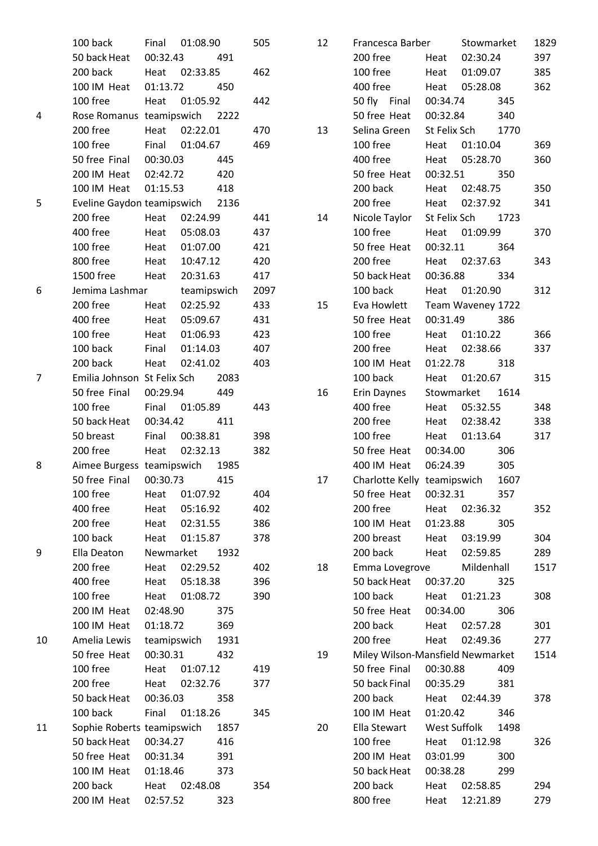|    | 100 back                        | Final          | 01:08.90       |       | 505  |
|----|---------------------------------|----------------|----------------|-------|------|
|    | 50 back Heat 00:32.43           |                |                | 491   |      |
|    | 200 back                        | Heat 02:33.85  |                |       | 462  |
|    | 100 IM Heat 01:13.72 450        |                |                |       |      |
|    | 100 free                        | Heat 01:05.92  |                |       | 442  |
| 4  | Rose Romanus teamipswich 2222   |                |                |       |      |
|    | 200 free                        | Heat 02:22.01  |                |       | 470  |
|    | 100 free                        |                | Final 01:04.67 |       | 469  |
|    | 50 free Final 00:30.03          |                |                | - 445 |      |
|    | 200 IM Heat 02:42.72            |                |                | 420   |      |
|    | 100 IM Heat 01:15.53            |                |                | 418   |      |
| 5  | Eveline Gaydon teamipswich 2136 |                |                |       |      |
|    | 200 free                        | Heat 02:24.99  |                |       | 441  |
|    | 400 free                        | Heat 05:08.03  |                |       | 437  |
|    | 100 free                        |                | Heat 01:07.00  |       | 421  |
|    | 800 free                        | Heat 10:47.12  |                |       | 420  |
|    | 1500 free Heat 20:31.63         |                |                |       | 417  |
| 6  | Jemima Lashmar                  |                | teamipswich    |       | 2097 |
|    | 200 free                        | Heat           | 02:25.92       |       | 433  |
|    | 400 free                        | Heat           | 05:09.67       |       | 431  |
|    | 100 free                        |                | Heat 01:06.93  |       | 423  |
|    | 100 back                        | Final 01:14.03 |                |       | 407  |
|    | 200 back Heat 02:41.02          |                |                |       | 403  |
| 7  | Emilia Johnson St Felix Sch     |                |                | 2083  |      |
|    | 50 free Final 00:29.94          |                |                | 449   |      |
|    | 100 free                        | Final 01:05.89 |                |       | 443  |
|    | 50 back Heat                    |                | 00:34.42 411   |       |      |
|    | 50 breast Final 00:38.81        |                |                |       | 398  |
|    | 200 free                        | Heat 02:32.13  |                |       | 382  |
| 8  | Aimee Burgess teamipswich 1985  |                |                |       |      |
|    | 50 free Final                   | 00:30.73       |                | 415   |      |
|    | 100 free                        | Heat           | 01:07.92       |       | 404  |
|    | 400 free                        |                | 05:16.92       |       | 402  |
|    | 200 free                        | Heat           |                |       | 386  |
|    | 100 back                        |                | Heat 02:31.55  |       |      |
|    |                                 |                | Heat 01:15.87  |       | 378  |
| 9  | Ella Deaton<br>200 free         | Newmarket      |                | 1932  |      |
|    |                                 |                | Heat 02:29.52  |       | 402  |
|    | 400 free                        |                | Heat 05:18.38  |       | 396  |
|    | 100 free                        |                | Heat 01:08.72  |       | 390  |
|    | 200 IM Heat                     | 02:48.90       |                | 375   |      |
|    | 100 IM Heat                     | 01:18.72       |                | 369   |      |
| 10 | Amelia Lewis                    | teamipswich    |                | 1931  |      |
|    | 50 free Heat                    | 00:30.31       |                | 432   |      |
|    | 100 free                        |                | Heat 01:07.12  |       | 419  |
|    | 200 free                        | Heat           | 02:32.76       |       | 377  |
|    | 50 back Heat                    | 00:36.03       |                | 358   |      |
|    | 100 back                        |                | Final 01:18.26 |       | 345  |
| 11 | Sophie Roberts teamipswich 1857 |                |                |       |      |
|    | 50 back Heat                    | 00:34.27       |                | 416   |      |
|    | 50 free Heat                    | 00:31.34       |                | 391   |      |
|    | 100 IM Heat                     | 01:18.46       |                | 373   |      |
|    | 200 back                        |                | Heat 02:48.08  |       | 354  |
|    | 200 IM Heat                     |                | 02:57.52 323   |       |      |

| 12 | Francesca Barber                 |          | Stowmarket        |     | 1829 |
|----|----------------------------------|----------|-------------------|-----|------|
|    | 200 free                         |          | Heat 02:30.24     |     | 397  |
|    | 100 free                         |          | Heat 01:09.07     |     | 385  |
|    | 400 free                         |          | Heat 05:28.08     |     | 362  |
|    | 50 fly Final 00:34.74            |          |                   | 345 |      |
|    | 50 free Heat 00:32.84            |          |                   | 340 |      |
| 13 | Selina Green St Felix Sch 1770   |          |                   |     |      |
|    | 100 free                         |          | Heat 01:10.04     |     | 369  |
|    | 400 free                         |          | Heat 05:28.70     |     | 360  |
|    | 50 free Heat  00:32.51  350      |          |                   |     |      |
|    | 200 back                         |          | Heat 02:48.75     |     | 350  |
|    | 200 free                         |          | Heat 02:37.92     |     | 341  |
| 14 | Nicole Taylor St Felix Sch 1723  |          |                   |     |      |
|    | 100 free                         |          | Heat 01:09.99     |     | 370  |
|    | 50 free Heat                     |          | 00:32.11 364      |     |      |
|    | 200 free                         |          | Heat 02:37.63     |     | 343  |
|    | 50 back Heat 00:36.88 334        |          |                   |     |      |
|    | 100 back                         |          | Heat 01:20.90     |     | 312  |
| 15 | Eva Howlett                      |          | Team Waveney 1722 |     |      |
|    | 50 free Heat                     |          | 00:31.49          | 386 |      |
|    | 100 free                         |          | Heat 01:10.22     |     | 366  |
|    | 200 free                         |          | Heat 02:38.66     |     | 337  |
|    | 100 IM Heat                      |          | 01:22.78 318      |     |      |
|    | 100 back                         |          | Heat 01:20.67     |     | 315  |
| 16 | Erin Daynes                      |          | Stowmarket 1614   |     |      |
|    | 400 free                         |          | Heat 05:32.55     |     | 348  |
|    | 200 free                         |          | Heat 02:38.42     |     | 338  |
|    | 100 free                         |          | Heat 01:13.64     |     | 317  |
|    | 50 free Heat 00:34.00            |          |                   | 306 |      |
|    | 400 IM Heat 06:24.39             |          |                   | 305 |      |
| 17 | Charlotte Kelly teamipswich 1607 |          |                   |     |      |
|    | 50 free Heat                     | 00:32.31 |                   | 357 |      |
|    | 200 free                         |          | Heat 02:36.32     |     | 352  |
|    | 100 IM Heat 01:23.88 305         |          |                   |     |      |
|    | 200 breast Heat 03:19.99         |          |                   |     | 304  |
|    | 200 back                         |          | Heat 02:59.85     |     | 289  |
| 18 | Emma Lovegrove Mildenhall        |          |                   |     | 1517 |
|    | 50 back Heat 00:37.20 325        |          |                   |     |      |
|    | 100 back Heat 01:21.23           |          |                   |     | 308  |
|    | 50 free Heat 00:34.00            |          |                   | 306 |      |
|    | 200 back                         |          | Heat 02:57.28     |     | 301  |
|    | 200 free                         |          | Heat 02:49.36     |     | 277  |
| 19 | Miley Wilson-Mansfield Newmarket |          |                   |     | 1514 |
|    | 50 free Final 00:30.88           |          |                   | 409 |      |
|    | 50 back Final                    |          | 00:35.29          | 381 |      |
|    | 200 back                         |          | Heat 02:44.39     |     | 378  |
|    | 100 IM Heat                      |          | 01:20.42 346      |     |      |
| 20 | Ella Stewart West Suffolk 1498   |          |                   |     |      |
|    | 100 free                         |          | Heat 01:12.98     |     | 326  |
|    | 200 IM Heat                      | 03:01.99 |                   | 300 |      |
|    | 50 back Heat                     |          | 00:38.28          | 299 |      |
|    | 200 back                         |          | Heat 02:58.85     |     | 294  |
|    | 800 free                         |          | Heat 12:21.89     |     | 279  |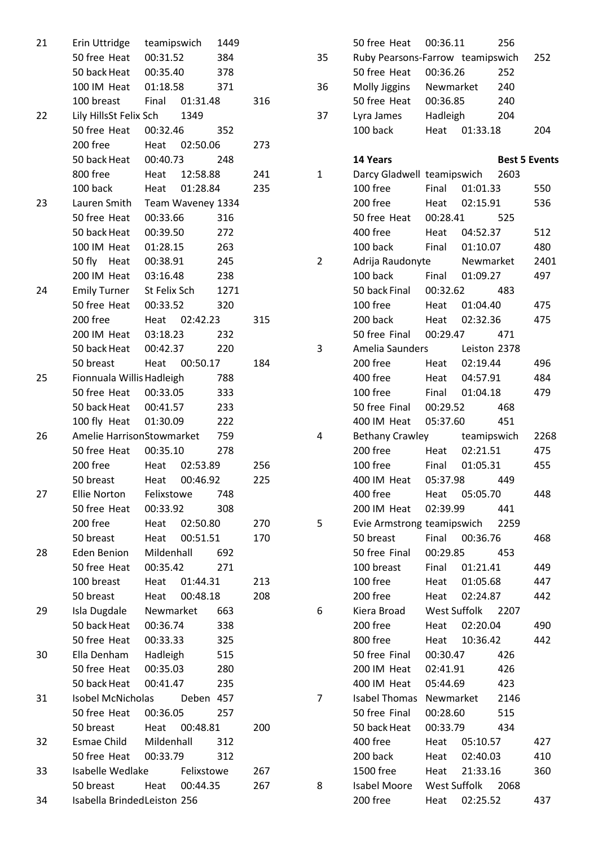| 21 | Erin Uttridge teamipswich      |               |           | 1449 |     |  |
|----|--------------------------------|---------------|-----------|------|-----|--|
|    | 50 free Heat 00:31.52          |               |           | 384  |     |  |
|    | 50 back Heat  00:35.40  378    |               |           |      |     |  |
|    | 100 IM Heat 01:18.58 371       |               |           |      |     |  |
|    | 100 breast Final 01:31.48      |               |           |      | 316 |  |
| 22 | Lily HillsSt Felix Sch 1349    |               |           |      |     |  |
|    | 50 free Heat 00:32.46 352      |               |           |      |     |  |
|    | 200 free Heat 02:50.06         |               |           |      | 273 |  |
|    | 50 back Heat 00:40.73 248      |               |           |      |     |  |
|    | 800 free Heat 12:58.88         |               |           |      | 241 |  |
|    | 100 back Heat 01:28.84         |               |           |      | 235 |  |
| 23 | Lauren Smith Team Waveney 1334 |               |           |      |     |  |
|    | 50 free Heat 00:33.66          |               |           | 316  |     |  |
|    | 50 back Heat 00:39.50          |               |           | 272  |     |  |
|    | 100 IM Heat 01:28.15           |               |           | 263  |     |  |
|    | 50 fly Heat 00:38.91           |               |           | 245  |     |  |
|    | 200 IM Heat 03:16.48 238       |               |           |      |     |  |
| 24 | Emily Turner St Felix Sch 1271 |               |           |      |     |  |
|    | 50 free Heat 00:33.52 320      |               |           |      |     |  |
|    | 200 free   Heat   02:42.23     |               |           |      | 315 |  |
|    | 200 IM Heat 03:18.23 232       |               |           |      |     |  |
|    | 50 back Heat 00:42.37 220      |               |           |      |     |  |
|    | 50 breast Heat 00:50.17        |               |           |      | 184 |  |
| 25 | Fionnuala Willis Hadleigh 788  |               |           |      |     |  |
|    | 50 free Heat 00:33.05          |               |           | 333  |     |  |
|    | 50 back Heat 00:41.57          |               |           | 233  |     |  |
|    | 100 fly Heat 01:30.09 222      |               |           |      |     |  |
| 26 | Amelie HarrisonStowmarket 759  |               |           |      |     |  |
|    | 50 free Heat 00:35.10          |               |           | 278  |     |  |
|    | 200 free   Heat   02:53.89     |               |           |      | 256 |  |
|    | 50 breast Heat 00:46.92        |               |           |      | 225 |  |
| 27 | <b>Ellie Norton</b>            | Felixstowe    |           | 748  |     |  |
|    | 50 free Heat                   | 00:33.92      |           | 308  |     |  |
|    | 200 free                       | Heat          | 02:50.80  |      | 270 |  |
|    | 50 breast                      | Heat          | 00:51.51  |      | 170 |  |
| 28 | Eden Benion                    | Mildenhall    |           | 692  |     |  |
|    | 50 free Heat                   | 00:35.42      |           | 271  |     |  |
|    | 100 breast                     | Heat 01:44.31 |           |      | 213 |  |
|    | 50 breast                      | Heat 00:48.18 |           |      | 208 |  |
| 29 | Isla Dugdale                   | Newmarket     |           | 663  |     |  |
|    | 50 back Heat                   | 00:36.74      |           | 338  |     |  |
|    | 50 free Heat                   | 00:33.33      |           | 325  |     |  |
| 30 | Ella Denham                    | Hadleigh      |           | 515  |     |  |
|    | 50 free Heat                   | 00:35.03      |           | 280  |     |  |
|    | 50 back Heat                   | 00:41.47      |           | 235  |     |  |
| 31 | Isobel McNicholas              |               | Deben 457 |      |     |  |
|    | 50 free Heat 00:36.05          |               |           | 257  |     |  |
|    | 50 breast                      | Heat 00:48.81 |           |      | 200 |  |
| 32 | Esmae Child Mildenhall         |               |           | 312  |     |  |
|    | 50 free Heat 00:33.79          |               |           | 312  |     |  |
| 33 | Isabelle Wedlake Felixstowe    |               |           |      | 267 |  |
|    | 50 breast                      | Heat          | 00:44.35  |      | 267 |  |
| 34 | Isabella BrindedLeiston 256    |               |           |      |     |  |

|    | 50 free Heat 00:36.11            |                           |                | 256                  |            |
|----|----------------------------------|---------------------------|----------------|----------------------|------------|
| 35 | Ruby Pearsons-Farrow teamipswich |                           |                |                      | 252        |
|    | 50 free Heat                     | 00:36.26                  |                | 252                  |            |
| 36 | Molly Jiggins Newmarket          |                           |                | 240                  |            |
|    | 50 free Heat                     | 00:36.85                  |                | 240                  |            |
| 37 | Lyra James                       | Hadleigh                  |                | 204                  |            |
|    | 100 back                         | Heat                      | 01:33.18       |                      | 204        |
|    |                                  |                           |                |                      |            |
|    | 14 Years                         |                           |                | <b>Best 5 Events</b> |            |
| 1  | Darcy Gladwell teamipswich 2603  |                           |                |                      |            |
|    | 100 free                         |                           | Final 01:01.33 |                      | 550        |
|    | 200 free                         | Heat                      | 02:15.91       |                      | 536        |
|    | 50 free Heat                     | 00:28.41                  |                | 525                  |            |
|    | 400 free                         | Heat 04:52.37             |                |                      | 512        |
|    | 100 back                         | Final 01:10.07            |                |                      | 480        |
| 2  | Adrija Raudonyte Newmarket       |                           |                |                      | 2401       |
|    | 100 back                         | Final 01:09.27            |                |                      | 497        |
|    | 50 back Final                    | 00:32.62                  |                | 483                  |            |
|    | 100 free                         | Heat 01:04.40             |                |                      | 475        |
|    | 200 back                         | Heat 02:32.36             |                |                      | 475        |
|    | 50 free Final 00:29.47           |                           |                | 471                  |            |
| 3  | Amelia Saunders Leiston 2378     |                           |                |                      |            |
|    | 200 free                         | Heat                      | 02:19.44       |                      | 496        |
|    | 400 free                         |                           | Heat 04:57.91  |                      | 484        |
|    | 100 free                         |                           | Final 01:04.18 |                      | 479        |
|    | 50 free Final 00:29.52           |                           |                | 468                  |            |
|    | 400 IM Heat 05:37.60             |                           |                | 451                  |            |
| 4  | Bethany Crawley teamipswich      |                           |                |                      | 2268       |
|    | 200 free                         |                           | Heat 02:21.51  |                      | 475        |
|    | 100 free                         | Final 01:05.31            |                |                      | 455        |
|    | 400 IM Heat 05:37.98             |                           |                | 449                  |            |
|    | 400 free                         | Heat 05:05.70             |                |                      | 448        |
|    | 200 IM Heat 02:39.99             |                           |                | 441                  |            |
| 5  | Evie Armstrong teamipswich 2259  |                           |                |                      |            |
|    | 50 breast                        | Final 00:36.76            |                |                      | 468        |
|    | 50 free Final                    |                           | 00:29.85 453   |                      |            |
|    | 100 breast Final 01:21.41        |                           |                |                      | 449        |
|    | 100 free                         |                           | Heat 01:05.68  |                      | 447        |
|    | 200 free                         | Heat 02:24.87             |                |                      | 442        |
| 6  | Kiera Broad                      | West Suffolk 2207         |                |                      |            |
|    | 200 free Heat 02:20.04           |                           |                |                      | 490        |
|    | 800 free                         |                           | Heat 10:36.42  |                      | 442        |
|    | 50 free Final                    |                           | 00:30.47       | 426                  |            |
|    | 200 IM Heat 02:41.91             |                           |                | 426                  |            |
|    | 400 IM Heat 05:44.69             |                           |                | 423                  |            |
| 7  | Isabel Thomas Newmarket 2146     |                           |                |                      |            |
|    | 50 free Final                    | 00:28.60                  |                | 515                  |            |
|    | 50 back Heat<br>400 free         | 00:33.79<br>Heat 05:10.57 |                | 434                  |            |
|    | 200 back                         |                           | Heat 02:40.03  |                      | 427<br>410 |
|    | 1500 free                        | Heat 21:33.16             |                |                      | 360        |
| 8  | Isabel Moore West Suffolk 2068   |                           |                |                      |            |
|    | 200 free                         |                           | Heat 02:25.52  |                      | 437        |
|    |                                  |                           |                |                      |            |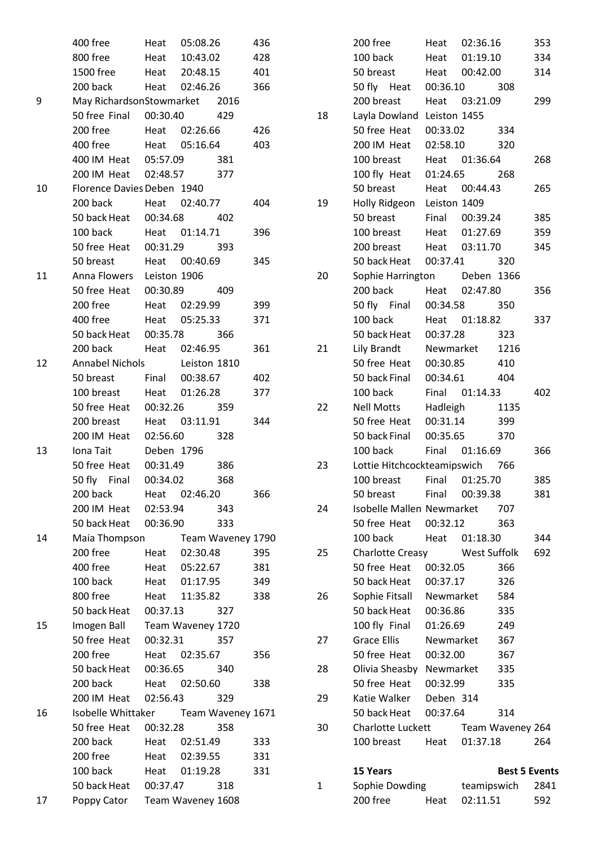|    | 400 free                             |          | Heat 05:08.26     |                   | 436 |
|----|--------------------------------------|----------|-------------------|-------------------|-----|
|    | 800 free Heat 10:43.02               |          |                   |                   | 428 |
|    | 1500 free Heat 20:48.15 401          |          |                   |                   |     |
|    | 200 back Heat 02:46.26               |          |                   |                   | 366 |
| 9  | May RichardsonStowmarket 2016        |          |                   |                   |     |
|    | 50 free Final 00:30.40 429           |          |                   |                   |     |
|    | 200 free Heat 02:26.66               |          |                   |                   | 426 |
|    | 400 free Heat 05:16.64               |          |                   |                   | 403 |
|    | 400 IM Heat 05:57.09 381             |          |                   |                   |     |
|    | 200 IM Heat 02:48.57 377             |          |                   |                   |     |
| 10 | Florence Davies Deben 1940           |          |                   |                   |     |
|    | 200 back Heat 02:40.77               |          |                   |                   | 404 |
|    | 50 back Heat 00:34.68 402            |          |                   |                   |     |
|    | 100 back Heat 01:14.71               |          |                   |                   | 396 |
|    | 50 free Heat 00:31.29 393            |          |                   |                   |     |
|    | 50 breast Heat 00:40.69              |          |                   |                   | 345 |
| 11 | Anna Flowers Leiston 1906            |          |                   |                   |     |
|    | 50 free Heat 00:30.89 409            |          |                   |                   |     |
|    | 200 free Heat 02:29.99               |          |                   |                   | 399 |
|    | 400 free Heat 05:25.33               |          |                   |                   | 371 |
|    | 50 back Heat 00:35.78 366            |          |                   |                   |     |
|    | 200 back Heat 02:46.95               |          |                   |                   | 361 |
| 12 | Annabel Nichols Leiston 1810         |          |                   |                   |     |
|    | 50 breast Final 00:38.67             |          |                   |                   | 402 |
|    | 100 breast Heat 01:26.28             |          |                   |                   | 377 |
|    | 50 free Heat 00:32.26 359            |          |                   |                   |     |
|    | 200 breast Heat 03:11.91             |          |                   |                   | 344 |
|    | 200 IM Heat 02:56.60                 |          |                   | 328               |     |
| 13 | Iona Tait Deben 1796                 |          |                   |                   |     |
|    | 50 free Heat 00:31.49                |          |                   | 386               |     |
|    | 50 fly Final 00:34.02                |          |                   | 368               |     |
|    | 200 back                             | Heat     | 02:46.20          |                   | 366 |
|    | 200 IM Heat                          | 02:53.94 |                   | 343               |     |
|    | 50 back Heat                         | 00:36.90 |                   | 333               |     |
| 14 | Maia Thompson                        |          |                   | Team Waveney 1790 |     |
|    | 200 free                             | Heat     | 02:30.48          |                   | 395 |
|    | 400 free                             |          | Heat 05:22.67     |                   | 381 |
|    | 100 back                             |          | Heat 01:17.95     |                   | 349 |
|    | 800 free                             |          | Heat 11:35.82     |                   | 338 |
|    | 50 back Heat                         | 00:37.13 |                   | 327               |     |
| 15 | Imogen Ball                          |          | Team Waveney 1720 |                   |     |
|    | 50 free Heat                         | 00:32.31 |                   | 357               |     |
|    | 200 free                             | Heat     | 02:35.67          |                   | 356 |
|    | 50 back Heat                         | 00:36.65 |                   | 340               |     |
|    | 200 back                             |          | Heat 02:50.60     |                   | 338 |
|    | 200 IM Heat                          | 02:56.43 |                   | 329               |     |
| 16 | Isobelle Whittaker Team Waveney 1671 |          |                   |                   |     |
|    | 50 free Heat                         | 00:32.28 |                   | 358               |     |
|    | 200 back                             |          | Heat 02:51.49     |                   | 333 |
|    | 200 free                             |          | Heat 02:39.55     |                   | 331 |
|    | 100 back                             |          | Heat 01:19.28     |                   | 331 |
|    | 50 back Heat                         | 00:37.47 |                   | 318               |     |
| 17 | Poppy Cator                          |          | Team Waveney 1608 |                   |     |
|    |                                      |          |                   |                   |     |

|    | 200 free                        | Heat      | 02:36.16            |                      | 353  |
|----|---------------------------------|-----------|---------------------|----------------------|------|
|    | 100 back                        |           | Heat 01:19.10       |                      | 334  |
|    | 50 breast                       |           | Heat 00:42.00       |                      | 314  |
|    | 50 fly Heat 00:36.10 308        |           |                     |                      |      |
|    | 200 breast Heat 03:21.09        |           |                     |                      | 299  |
| 18 | Layla Dowland Leiston 1455      |           |                     |                      |      |
|    | 50 free Heat 00:33.02 334       |           |                     |                      |      |
|    | 200 IM Heat 02:58.10 320        |           |                     |                      |      |
|    | 100 breast                      |           | Heat 01:36.64       |                      | 268  |
|    | 100 fly Heat 01:24.65           |           |                     | 268                  |      |
|    | 50 breast Heat 00:44.43         |           |                     |                      | 265  |
| 19 | Holly Ridgeon Leiston 1409      |           |                     |                      |      |
|    | 50 breast Final 00:39.24        |           |                     |                      | 385  |
|    | 100 breast Heat 01:27.69        |           |                     |                      | 359  |
|    | 200 breast Heat 03:11.70        |           |                     |                      | 345  |
|    | 50 back Heat  00:37.41  320     |           |                     |                      |      |
| 20 | Sophie Harrington Deben 1366    |           |                     |                      |      |
|    | 200 back Heat 02:47.80          |           |                     |                      | 356  |
|    | 50 fly Final 00:34.58           |           |                     | 350                  |      |
|    | 100 back Heat 01:18.82          |           |                     |                      | 337  |
|    | 50 back Heat 00:37.28 323       |           |                     |                      |      |
| 21 | Lily Brandt Newmarket 1216      |           |                     |                      |      |
|    | 50 free Heat 00:30.85           |           |                     | 410                  |      |
|    | 50 back Final 00:34.61 404      |           |                     |                      |      |
|    | 100 back Final 01:14.33         |           |                     |                      | 402  |
| 22 | Nell Motts Hadleigh 1135        |           |                     |                      |      |
|    | 50 free Heat 00:31.14 399       |           |                     |                      |      |
|    | 50 back Final 00:35.65          |           |                     | 370                  |      |
|    | 100 back Final 01:16.69         |           |                     |                      | 366  |
| 23 | Lottie Hitchcockteamipswich 766 |           |                     |                      |      |
|    | 100 breast Final 01:25.70       |           |                     |                      | 385  |
|    | 50 breast                       | Final     | 00:39.38            |                      | 381  |
| 24 | Isobelle Mallen Newmarket       |           |                     | 707                  |      |
|    | 50 free Heat                    | 00:32.12  |                     | 363                  | 344  |
|    | 100 back                        |           | Heat 01:18.30       |                      |      |
| 25 | Charlotte Creasy                |           | <b>West Suffolk</b> |                      | 692  |
|    | 50 free Heat                    | 00:32.05  |                     | 366                  |      |
|    | 50 back Heat                    | 00:37.17  |                     | 326                  |      |
| 26 | Sophie Fitsall Newmarket        |           |                     | 584                  |      |
|    | 50 back Heat                    | 00:36.86  |                     | 335                  |      |
|    | 100 fly Final                   | 01:26.69  |                     | 249                  |      |
| 27 | Grace Ellis                     | Newmarket |                     | 367                  |      |
|    | 50 free Heat 00:32.00           |           |                     | 367                  |      |
| 28 | Olivia Sheasby Newmarket        |           |                     | 335                  |      |
|    | 50 free Heat                    | 00:32.99  |                     | 335                  |      |
| 29 | Katie Walker Deben 314          |           |                     |                      |      |
|    | 50 back Heat                    | 00:37.64  |                     | 314                  |      |
| 30 | Charlotte Luckett               |           | Team Waveney 264    |                      |      |
|    | 100 breast                      | Heat      | 01:37.18            |                      | 264  |
|    |                                 |           |                     |                      |      |
|    | <b>15 Years</b>                 |           |                     | <b>Best 5 Events</b> |      |
| 1  | Sophie Dowding                  |           |                     | teamipswich          | 2841 |
|    | 200 free                        | Heat      | 02:11.51            |                      | 592  |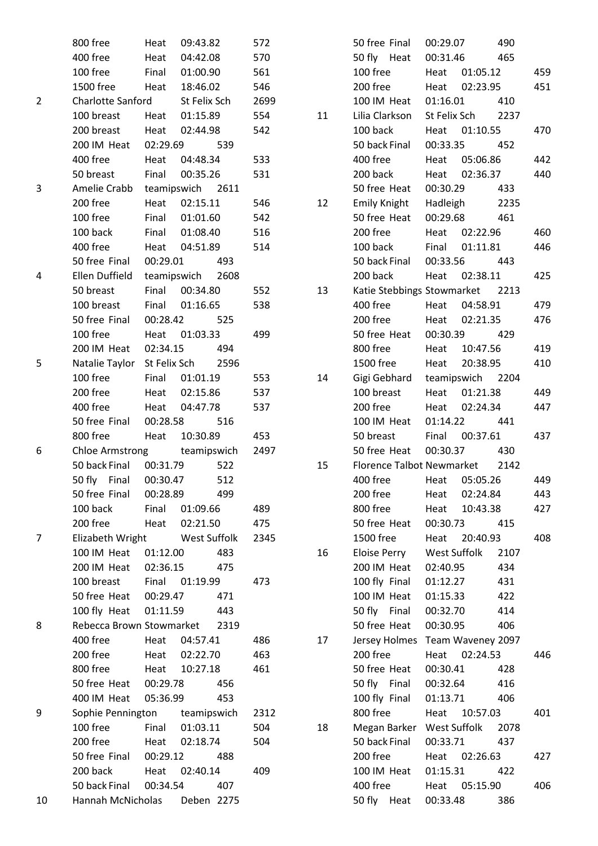|                | 800 free                 | Heat         | 09:43.82     |      | 572  |    | 50 free Final                    | 00:29.07     |               | 490  |     |
|----------------|--------------------------|--------------|--------------|------|------|----|----------------------------------|--------------|---------------|------|-----|
|                | 400 free                 | Heat         | 04:42.08     |      | 570  |    | 50 fly Heat                      | 00:31.46     |               | 465  |     |
|                | 100 free                 | Final        | 01:00.90     |      | 561  |    | 100 free                         | Heat         | 01:05.12      |      | 459 |
|                | 1500 free                | Heat         | 18:46.02     |      | 546  |    | 200 free                         | Heat         | 02:23.95      |      | 451 |
| $\overline{2}$ | <b>Charlotte Sanford</b> |              | St Felix Sch |      | 2699 |    | 100 IM Heat                      | 01:16.01     |               | 410  |     |
|                | 100 breast               | Heat         | 01:15.89     |      | 554  | 11 | Lilia Clarkson                   | St Felix Sch |               | 2237 |     |
|                | 200 breast               | Heat         | 02:44.98     |      | 542  |    | 100 back                         | Heat         | 01:10.55      |      | 470 |
|                | 200 IM Heat              | 02:29.69     |              | 539  |      |    | 50 back Final                    | 00:33.35     |               | 452  |     |
|                | 400 free                 | Heat         | 04:48.34     |      | 533  |    | 400 free                         | Heat         | 05:06.86      |      | 442 |
|                | 50 breast                | Final        | 00:35.26     |      | 531  |    | 200 back                         | Heat         | 02:36.37      |      | 440 |
| 3              | Amelie Crabb             | teamipswich  |              | 2611 |      |    | 50 free Heat                     | 00:30.29     |               | 433  |     |
|                | 200 free                 | Heat         | 02:15.11     |      | 546  | 12 | Emily Knight                     | Hadleigh     |               | 2235 |     |
|                | 100 free                 | Final        | 01:01.60     |      | 542  |    | 50 free Heat                     | 00:29.68     |               | 461  |     |
|                | 100 back                 | Final        | 01:08.40     |      | 516  |    | 200 free                         | Heat         | 02:22.96      |      | 460 |
|                | 400 free                 | Heat         | 04:51.89     |      | 514  |    | 100 back                         | Final        | 01:11.81      |      | 446 |
|                | 50 free Final            | 00:29.01     |              | 493  |      |    | 50 back Final                    | 00:33.56     |               | 443  |     |
| 4              | Ellen Duffield           | teamipswich  |              | 2608 |      |    | 200 back                         | Heat         | 02:38.11      |      | 425 |
|                | 50 breast                | Final        | 00:34.80     |      | 552  | 13 | Katie Stebbings Stowmarket       |              |               | 2213 |     |
|                | 100 breast               | Final        | 01:16.65     |      | 538  |    | 400 free                         | Heat         | 04:58.91      |      | 479 |
|                | 50 free Final            | 00:28.42     |              | 525  |      |    | 200 free                         | Heat         | 02:21.35      |      | 476 |
|                | 100 free                 | Heat         | 01:03.33     |      | 499  |    | 50 free Heat                     | 00:30.39     |               | 429  |     |
|                | 200 IM Heat              | 02:34.15     |              | 494  |      |    | 800 free                         | Heat         | 10:47.56      |      | 419 |
| 5              | Natalie Taylor           | St Felix Sch |              | 2596 |      |    | 1500 free                        | Heat         | 20:38.95      |      | 410 |
|                | 100 free                 | Final        | 01:01.19     |      | 553  | 14 | Gigi Gebhard                     | teamipswich  |               | 2204 |     |
|                | 200 free                 | Heat         | 02:15.86     |      | 537  |    | 100 breast                       | Heat         | 01:21.38      |      | 449 |
|                | 400 free                 | Heat         | 04:47.78     |      | 537  |    | 200 free                         | Heat         | 02:24.34      |      | 447 |
|                | 50 free Final            | 00:28.58     |              | 516  |      |    | 100 IM Heat                      | 01:14.22     |               | 441  |     |
|                | 800 free                 | Heat         | 10:30.89     |      | 453  |    | 50 breast                        | Final        | 00:37.61      |      | 437 |
| 6              | <b>Chloe Armstrong</b>   |              | teamipswich  |      | 2497 |    | 50 free Heat                     | 00:30.37     |               | 430  |     |
|                | 50 back Final            | 00:31.79     |              | 522  |      | 15 | <b>Florence Talbot Newmarket</b> |              |               | 2142 |     |
|                | 50 fly Final             | 00:30.47     |              | 512  |      |    | 400 free                         | Heat         | 05:05.26      |      | 449 |
|                | 50 free Final            | 00:28.89     |              | 499  |      |    | 200 free                         | Heat         | 02:24.84      |      | 443 |
|                | 100 back                 | Final        | 01:09.66     |      | 489  |    | 800 free                         | Heat         | 10:43.38      |      | 427 |
|                | 200 free                 | Heat         | 02:21.50     |      | 475  |    | 50 free Heat                     | 00:30.73     |               | 415  |     |
| $\overline{7}$ | Elizabeth Wright         |              | West Suffolk |      | 2345 |    | 1500 free                        | Heat         | 20:40.93      |      | 408 |
|                | 100 IM Heat              | 01:12.00     |              | 483  |      | 16 | Eloise Perry                     | West Suffolk |               | 2107 |     |
|                | 200 IM Heat              | 02:36.15     |              | 475  |      |    | 200 IM Heat                      | 02:40.95     |               | 434  |     |
|                | 100 breast               | Final        | 01:19.99     |      | 473  |    | 100 fly Final                    | 01:12.27     |               | 431  |     |
|                | 50 free Heat             | 00:29.47     |              | 471  |      |    | 100 IM Heat                      | 01:15.33     |               | 422  |     |
|                | 100 fly Heat             | 01:11.59     |              | 443  |      |    | 50 fly Final                     | 00:32.70     |               | 414  |     |
| 8              | Rebecca Brown Stowmarket |              |              | 2319 |      |    | 50 free Heat                     | 00:30.95     |               | 406  |     |
|                | 400 free                 | Heat         | 04:57.41     |      | 486  | 17 | Jersey Holmes Team Waveney 2097  |              |               |      |     |
|                | 200 free                 | Heat         | 02:22.70     |      | 463  |    | 200 free                         | Heat         | 02:24.53      |      | 446 |
|                | 800 free                 | Heat         | 10:27.18     |      | 461  |    | 50 free Heat                     | 00:30.41     |               | 428  |     |
|                | 50 free Heat             | 00:29.78     |              | 456  |      |    | 50 fly Final                     | 00:32.64     |               | 416  |     |
|                | 400 IM Heat              | 05:36.99     |              | 453  |      |    | 100 fly Final                    | 01:13.71     |               | 406  |     |
| 9              | Sophie Pennington        |              | teamipswich  |      | 2312 |    | 800 free                         | Heat         | 10:57.03      |      | 401 |
|                | 100 free                 | Final        | 01:03.11     |      | 504  | 18 | Megan Barker West Suffolk        |              |               | 2078 |     |
|                | 200 free                 | Heat         | 02:18.74     |      | 504  |    | 50 back Final                    | 00:33.71     |               | 437  |     |
|                | 50 free Final            | 00:29.12     |              | 488  |      |    | 200 free                         | Heat         | 02:26.63      |      | 427 |
|                | 200 back                 | Heat         | 02:40.14     |      | 409  |    | 100 IM Heat                      | 01:15.31     |               | 422  |     |
|                | 50 back Final            | 00:34.54     |              | 407  |      |    | 400 free                         |              | Heat 05:15.90 |      | 406 |
| 10             | Hannah McNicholas        |              | Deben 2275   |      |      |    | 50 fly Heat                      | 00:33.48     |               | 386  |     |
|                |                          |              |              |      |      |    |                                  |              |               |      |     |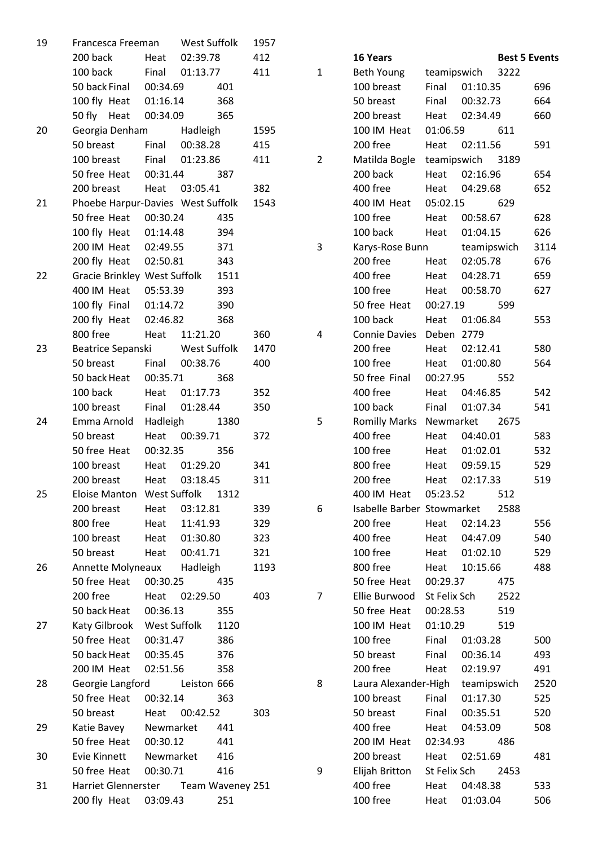| 19 | Francesca Freeman                       |                            | West Suffolk |      | 1957 |                |                            |                      |             |      |                      |  |
|----|-----------------------------------------|----------------------------|--------------|------|------|----------------|----------------------------|----------------------|-------------|------|----------------------|--|
|    | 200 back                                | Heat                       | 02:39.78     |      | 412  |                | 16 Years                   |                      |             |      | <b>Best 5 Events</b> |  |
|    | 100 back                                | Final                      | 01:13.77     |      | 411  | $\mathbf{1}$   | <b>Beth Young</b>          | teamipswich          |             | 3222 |                      |  |
|    | 50 back Final                           | 00:34.69                   |              | 401  |      |                | 100 breast                 | Final                | 01:10.35    |      | 696                  |  |
|    | 100 fly Heat                            | 01:16.14                   |              | 368  |      |                | 50 breast                  | Final                | 00:32.73    |      | 664                  |  |
|    | 50 fly Heat                             | 00:34.09                   |              | 365  |      |                | 200 breast                 | Heat                 | 02:34.49    |      | 660                  |  |
| 20 |                                         | Georgia Denham<br>Hadleigh |              |      | 1595 |                | 100 IM Heat                | 01:06.59             |             | 611  |                      |  |
|    | 50 breast                               | Final                      | 00:38.28     |      | 415  |                | 200 free                   | Heat                 | 02:11.56    |      | 591                  |  |
|    | 100 breast                              | Final                      | 01:23.86     |      | 411  | $\overline{2}$ | Matilda Bogle              | teamipswich          |             | 3189 |                      |  |
|    | 50 free Heat                            | 00:31.44                   |              | 387  |      |                | 200 back                   | Heat                 | 02:16.96    |      | 654                  |  |
|    | 200 breast                              | Heat                       | 03:05.41     |      | 382  |                | 400 free                   | Heat                 | 04:29.68    |      | 652                  |  |
| 21 | Phoebe Harpur-Davies West Suffolk       |                            |              |      | 1543 |                | 400 IM Heat                | 05:02.15             |             | 629  |                      |  |
|    | 50 free Heat                            | 00:30.24<br>435            |              |      |      |                | 100 free                   | Heat                 | 00:58.67    |      | 628                  |  |
|    | 100 fly Heat                            | 01:14.48                   |              | 394  |      |                | 100 back                   | Heat                 | 01:04.15    |      | 626                  |  |
|    | 200 IM Heat                             | 02:49.55                   |              | 371  |      | 3              | Karys-Rose Bunn            | teamipswich          |             |      | 3114                 |  |
|    | 200 fly Heat                            | 343<br>02:50.81            |              |      |      |                | 200 free                   | Heat                 | 02:05.78    |      | 676                  |  |
| 22 | Gracie Brinkley West Suffolk            |                            |              | 1511 |      |                | 400 free                   | Heat                 | 04:28.71    |      | 659                  |  |
|    | 400 IM Heat                             | 05:53.39                   | 393          |      |      |                | 100 free                   | Heat                 | 00:58.70    |      | 627                  |  |
|    | 100 fly Final                           | 01:14.72                   |              | 390  |      |                | 50 free Heat               | 00:27.19             |             | 599  |                      |  |
|    | 200 fly Heat                            | 02:46.82                   |              | 368  |      |                | 100 back                   | Heat                 | 01:06.84    |      | 553                  |  |
|    | 800 free                                | Heat                       | 11:21.20     |      | 360  | 4              | <b>Connie Davies</b>       | Deben 2779           |             |      |                      |  |
| 23 | Beatrice Sepanski                       |                            | West Suffolk |      | 1470 |                | 200 free                   | Heat                 | 02:12.41    |      | 580                  |  |
|    | 50 breast                               | Final                      | 00:38.76     |      | 400  |                | 100 free                   | Heat                 | 01:00.80    |      | 564                  |  |
|    | 50 back Heat                            | 00:35.71                   |              | 368  |      |                | 50 free Final              | 00:27.95             |             | 552  |                      |  |
|    | 100 back                                | Heat                       | 01:17.73     |      | 352  |                | 400 free                   | Heat                 | 04:46.85    |      | 542                  |  |
|    | 100 breast                              | Final                      | 01:28.44     |      | 350  |                | 100 back                   | Final                | 01:07.34    |      | 541                  |  |
| 24 | Emma Arnold                             | Hadleigh                   |              | 1380 |      | 5              | <b>Romilly Marks</b>       | Newmarket            |             | 2675 |                      |  |
|    | 50 breast                               | Heat                       | 00:39.71     |      | 372  |                | 400 free                   | Heat                 | 04:40.01    |      | 583                  |  |
|    | 50 free Heat                            | 00:32.35<br>356            |              |      |      |                | 100 free                   | Heat                 | 01:02.01    |      | 532                  |  |
|    | 100 breast                              | Heat                       | 01:29.20     |      | 341  |                | 800 free                   | Heat                 | 09:59.15    |      | 529                  |  |
|    | 200 breast                              | Heat<br>03:18.45           |              | 311  |      | 200 free       | 02:17.33<br>Heat           |                      |             | 519  |                      |  |
| 25 | Eloise Manton West Suffolk              |                            |              | 1312 |      |                | 400 IM Heat                | 05:23.52             |             | 512  |                      |  |
|    | 200 breast                              | Heat                       | 03:12.81     |      | 339  | 6              | Isabelle Barber Stowmarket |                      |             | 2588 |                      |  |
|    | 800 free                                | Heat                       | 11:41.93     |      | 329  |                | 200 free                   | Heat                 | 02:14.23    |      | 556                  |  |
|    | 100 breast                              | Heat                       | 01:30.80     |      | 323  |                | 400 free                   | Heat                 | 04:47.09    |      | 540                  |  |
|    | 50 breast                               | Heat                       | 00:41.71     |      | 321  |                | 100 free                   | Heat                 | 01:02.10    |      | 529                  |  |
| 26 | Hadleigh<br>Annette Molyneaux           |                            |              | 1193 |      | 800 free       | Heat                       | 10:15.66             |             | 488  |                      |  |
|    | 50 free Heat<br>00:30.25<br>435         |                            |              |      |      | 50 free Heat   | 00:29.37                   |                      | 475         |      |                      |  |
|    | 200 free                                | Heat                       | 02:29.50     |      | 403  | $\overline{7}$ | Ellie Burwood              | St Felix Sch         |             | 2522 |                      |  |
|    | 50 back Heat                            | 00:36.13                   |              | 355  |      |                | 50 free Heat               | 00:28.53             |             | 519  |                      |  |
| 27 | Katy Gilbrook                           | West Suffolk               |              | 1120 |      |                | 100 IM Heat                | 01:10.29             |             | 519  |                      |  |
|    | 50 free Heat                            | 00:31.47                   |              | 386  |      |                | 100 free                   | Final                | 01:03.28    |      | 500                  |  |
|    | 50 back Heat                            | 00:35.45                   |              | 376  |      |                | 50 breast                  | Final                | 00:36.14    |      | 493                  |  |
|    | 200 IM Heat                             | 02:51.56<br>358            |              |      |      | 200 free       | Heat<br>02:19.97           |                      |             | 491  |                      |  |
| 28 | Georgie Langford                        |                            | Leiston 666  |      |      | 8              | Laura Alexander-High       |                      | teamipswich |      | 2520                 |  |
|    | 50 free Heat                            | 00:32.14<br>363            |              |      |      | 100 breast     | Final                      | 01:17.30             |             | 525  |                      |  |
|    | 50 breast<br>Heat<br>00:42.52           |                            |              | 303  |      | 50 breast      | Final                      | 00:35.51             |             | 520  |                      |  |
| 29 | Katie Bavey                             | Newmarket                  |              | 441  |      |                | 400 free                   | Heat                 | 04:53.09    |      | 508                  |  |
|    | 50 free Heat                            | 00:30.12<br>441            |              |      |      |                | 200 IM Heat                | 02:34.93             |             | 486  |                      |  |
| 30 | Evie Kinnett                            | Newmarket                  |              | 416  |      |                | 200 breast                 | Heat                 | 02:51.69    |      | 481                  |  |
|    | 50 free Heat<br>00:30.71<br>416         |                            |              |      |      | 9              | Elijah Britton             | St Felix Sch<br>2453 |             |      |                      |  |
| 31 | Harriet Glennerster<br>Team Waveney 251 |                            |              |      |      |                | 400 free                   | Heat                 | 04:48.38    |      | 533                  |  |
|    | 200 fly Heat                            | 03:09.43                   |              | 251  |      |                | 100 free                   | Heat                 | 01:03.04    |      | 506                  |  |
|    |                                         |                            |              |      |      |                |                            |                      |             |      |                      |  |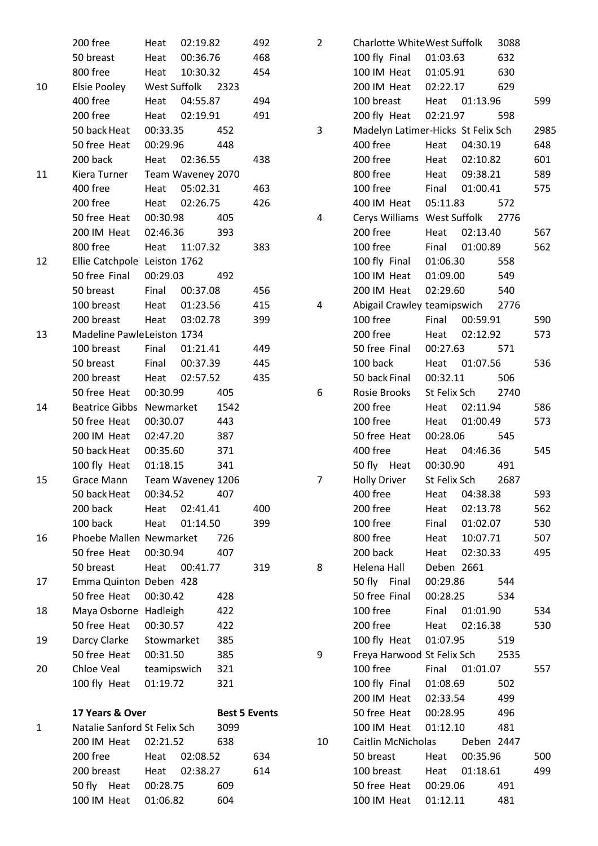|    | 200 free                       | Heat        | 02:19.82          |                      | 492 |  |
|----|--------------------------------|-------------|-------------------|----------------------|-----|--|
|    | 50 breast                      |             | Heat 00:36.76     |                      | 468 |  |
|    | 800 free                       |             | Heat 10:30.32     |                      | 454 |  |
| 10 | Elsie Pooley West Suffolk 2323 |             |                   |                      |     |  |
|    | 400 free                       | Heat        | 04:55.87          |                      | 494 |  |
|    | 200 free                       |             | Heat 02:19.91     |                      | 491 |  |
|    | 50 back Heat                   | 00:33.35    |                   | 452                  |     |  |
|    | 50 free Heat 00:29.96          |             |                   | 448                  |     |  |
|    | 200 back                       |             | Heat 02:36.55     |                      | 438 |  |
| 11 | Kiera Turner                   |             | Team Waveney 2070 |                      |     |  |
|    | 400 free                       |             | Heat 05:02.31     |                      | 463 |  |
|    | 200 free                       |             | Heat 02:26.75     |                      | 426 |  |
|    | 50 free Heat 00:30.98          |             |                   | - 405                |     |  |
|    | 200 IM Heat 02:46.36           |             |                   | 393                  |     |  |
|    | 800 free                       |             | Heat 11:07.32     |                      | 383 |  |
| 12 | Ellie Catchpole Leiston 1762   |             |                   |                      |     |  |
|    | 50 free Final 00:29.03         |             |                   | 492                  |     |  |
|    | 50 breast                      |             | Final 00:37.08    |                      | 456 |  |
|    | 100 breast                     |             | Heat 01:23.56     |                      | 415 |  |
|    | 200 breast                     |             | Heat 03:02.78     |                      | 399 |  |
| 13 | Madeline PawleLeiston 1734     |             |                   |                      |     |  |
|    | 100 breast                     |             | Final 01:21.41    |                      | 449 |  |
|    | 50 breast                      |             | Final 00:37.39    |                      | 445 |  |
|    | 200 breast                     |             | Heat 02:57.52     |                      | 435 |  |
|    | 50 free Heat 00:30.99          |             |                   | 405                  |     |  |
| 14 | Beatrice Gibbs Newmarket       |             |                   | 1542                 |     |  |
|    | 50 free Heat                   | 00:30.07    |                   | 443                  |     |  |
|    | 200 IM Heat                    | 02:47.20    |                   | 387                  |     |  |
|    | 50 back Heat                   | 00:35.60    |                   | 371                  |     |  |
|    | 100 fly Heat 01:18.15          |             |                   | 341                  |     |  |
| 15 | Grace Mann                     |             | Team Waveney 1206 |                      |     |  |
|    | 50 back Heat                   | 00:34.52    |                   | 407                  |     |  |
|    | 200 back                       |             | Heat 02:41.41     |                      | 400 |  |
|    | 100 back                       | Heat        | 01:14.50          |                      | 399 |  |
| 16 | Phoebe Mallen Newmarket        |             |                   | 726                  |     |  |
|    | 50 free Heat                   | 00:30.94    |                   | 407                  |     |  |
|    | 50 breast                      |             | Heat 00:41.77     |                      | 319 |  |
| 17 | Emma Quinton Deben 428         |             |                   |                      |     |  |
|    | 50 free Heat                   | 00:30.42    |                   | 428                  |     |  |
| 18 | Maya Osborne Hadleigh          |             |                   | 422                  |     |  |
|    | 50 free Heat                   | 00:30.57    |                   | 422                  |     |  |
| 19 | Darcy Clarke Stowmarket        |             |                   | 385                  |     |  |
|    | 50 free Heat 00:31.50          |             |                   | 385                  |     |  |
| 20 | Chloe Veal                     | teamipswich |                   | 321                  |     |  |
|    | 100 fly Heat                   | 01:19.72    |                   | 321                  |     |  |
|    |                                |             |                   |                      |     |  |
|    | 17 Years & Over                |             |                   | <b>Best 5 Events</b> |     |  |
| 1  | Natalie Sanford St Felix Sch   |             |                   | 3099                 |     |  |
|    | 200 IM Heat                    | 02:21.52    |                   | 638                  |     |  |
|    | 200 free                       | Heat        | 02:08.52          |                      | 634 |  |
|    | 200 breast                     | Heat        | 02:38.27          |                      | 614 |  |
|    | 50 fly Heat                    | 00:28.75    |                   | 609                  |     |  |
|    | 100 IM Heat 01:06.82           |             |                   | 604                  |     |  |

| 2  | Charlotte WhiteWest Suffolk        | 3088       |                |      |      |  |  |  |  |
|----|------------------------------------|------------|----------------|------|------|--|--|--|--|
|    | 100 fly Final 01:03.63             |            |                | 632  |      |  |  |  |  |
|    | 100 IM Heat 01:05.91               |            |                | 630  |      |  |  |  |  |
|    | 200 IM Heat 02:22.17               |            |                | 629  |      |  |  |  |  |
|    | 100 breast Heat 01:13.96           |            |                |      | 599  |  |  |  |  |
|    | 200 fly Heat 02:21.97 598          |            |                |      |      |  |  |  |  |
| 3  | Madelyn Latimer-Hicks St Felix Sch |            |                |      | 2985 |  |  |  |  |
|    | 400 free                           |            | Heat 04:30.19  |      | 648  |  |  |  |  |
|    | 200 free                           |            | Heat 02:10.82  |      | 601  |  |  |  |  |
|    | 800 free                           |            | Heat 09:38.21  |      | 589  |  |  |  |  |
|    | 100 free                           |            | Final 01:00.41 |      | 575  |  |  |  |  |
|    | 400 IM Heat 05:11.83               |            |                | 572  |      |  |  |  |  |
| 4  | Cerys Williams West Suffolk 2776   |            |                |      |      |  |  |  |  |
|    | 200 free                           |            | Heat 02:13.40  |      | 567  |  |  |  |  |
|    | 100 free                           |            | Final 01:00.89 |      | 562  |  |  |  |  |
|    | 100 fly Final 01:06.30 558         |            |                |      |      |  |  |  |  |
|    | 100 IM Heat 01:09.00               |            |                | 549  |      |  |  |  |  |
|    | 200 IM Heat                        | 02:29.60   |                | 540  |      |  |  |  |  |
| 4  | Abigail Crawley teamipswich 2776   |            |                |      |      |  |  |  |  |
|    | 100 free                           |            | Final 00:59.91 |      | 590  |  |  |  |  |
|    | 200 free                           |            | Heat 02:12.92  |      | 573  |  |  |  |  |
|    | 50 free Final                      |            | 00:27.63 571   |      |      |  |  |  |  |
|    | 100 back                           |            | Heat 01:07.56  |      | 536  |  |  |  |  |
|    | 50 back Final                      |            | 00:32.11 506   |      |      |  |  |  |  |
| 6  | Rosie Brooks St Felix Sch 2740     |            |                |      |      |  |  |  |  |
|    | 200 free                           |            | Heat 02:11.94  |      | 586  |  |  |  |  |
|    | 100 free                           |            | Heat 01:00.49  |      | 573  |  |  |  |  |
|    | 50 free Heat                       |            | 00:28.06       | 545  |      |  |  |  |  |
|    | 400 free                           |            | Heat 04:46.36  |      | 545  |  |  |  |  |
|    | 50 fly Heat 00:30.90 491           |            |                |      |      |  |  |  |  |
| 7  | Holly Driver St Felix Sch          |            |                | 2687 |      |  |  |  |  |
|    | 400 free                           | Heat       | 04:38.38       |      | 593  |  |  |  |  |
|    | 200 free                           |            | Heat 02:13.78  |      | 562  |  |  |  |  |
|    | 100 free                           |            | Final 01:02.07 |      | 530  |  |  |  |  |
|    | 800 free                           |            | Heat 10:07.71  |      | 507  |  |  |  |  |
|    | 200 back                           |            | Heat 02:30.33  |      | 495  |  |  |  |  |
| 8  | Helena Hall                        | Deben 2661 |                |      |      |  |  |  |  |
|    | 50 fly Final 00:29.86              |            |                | 544  |      |  |  |  |  |
|    | 50 free Final 00:28.25             |            |                | 534  |      |  |  |  |  |
|    | 100 free                           | Final      | 01:01.90       |      | 534  |  |  |  |  |
|    | 200 free                           |            | Heat 02:16.38  |      | 530  |  |  |  |  |
|    | 100 fly Heat 01:07.95              |            |                | 519  |      |  |  |  |  |
| 9  | Freya Harwood St Felix Sch 2535    |            |                |      |      |  |  |  |  |
|    | 100 free                           |            | Final 01:01.07 |      | 557  |  |  |  |  |
|    | 100 fly Final                      | 01:08.69   |                | 502  |      |  |  |  |  |
|    | 200 IM Heat 02:33.54               |            |                | 499  |      |  |  |  |  |
|    | 50 free Heat 00:28.95              |            |                | 496  |      |  |  |  |  |
|    | 100 IM Heat 01:12.10               |            |                | 481  |      |  |  |  |  |
| 10 | Caitlin McNicholas Deben 2447      |            |                |      |      |  |  |  |  |
|    | 50 breast                          |            | Heat 00:35.96  |      | 500  |  |  |  |  |
|    | 100 breast                         |            | Heat 01:18.61  |      | 499  |  |  |  |  |
|    | 50 free Heat 00:29.06              |            |                | 491  |      |  |  |  |  |
|    | 100 IM Heat                        | 01:12.11   |                | 481  |      |  |  |  |  |